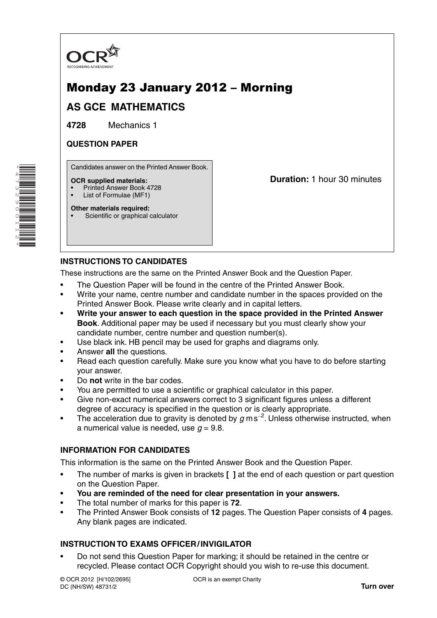

# Monday 23 January 2012 – Morning

# **AS GCE MATHEMATICS**

**4728** Mechanics 1

### **QUESTION PAPER**

Candidates answer on the Printed Answer Book.

#### **OCR supplied materials:**

- Printed Answer Book 4728
- List of Formulae (MF1)
- **Other materials required:** Scientific or graphical calculator

**Duration:** 1 hour 30 minutes

## **INSTRUCTIONS TO CANDIDATES**

These instructions are the same on the Printed Answer Book and the Question Paper.

- The Question Paper will be found in the centre of the Printed Answer Book.
- Write your name, centre number and candidate number in the spaces provided on the Printed Answer Book. Please write clearly and in capital letters.
- **Write your answer to each question in the space provided in the Printed Answer Book**. Additional paper may be used if necessary but you must clearly show your candidate number, centre number and question number(s).
- Use black ink. HB pencil may be used for graphs and diagrams only.
- Answer **all** the questions.
- Read each question carefully. Make sure you know what you have to do before starting your answer.
- Do **not** write in the bar codes.
- You are permitted to use a scientific or graphical calculator in this paper.
- Give non-exact numerical answers correct to 3 significant figures unless a different degree of accuracy is specified in the question or is clearly appropriate.
- The acceleration due to gravity is denoted by *g* m s−<sup>2</sup> . Unless otherwise instructed, when a numerical value is needed, use  $q = 9.8$ .

#### **INFORMATION FOR CANDIDATES**

This information is the same on the Printed Answer Book and the Question Paper.

- The number of marks is given in brackets **[ ]** at the end of each question or part question on the Question Paper.
- **You are reminded of the need for clear presentation in your answers.**
- The total number of marks for this paper is **72**.
- The Printed Answer Book consists of **12** pages. The Question Paper consists of **4** pages. Any blank pages are indicated.

#### **INSTRUCTION TO EXAMS OFFICER / INVIGILATOR**

• Do not send this Question Paper for marking; it should be retained in the centre or recycled. Please contact OCR Copyright should you wish to re-use this document.

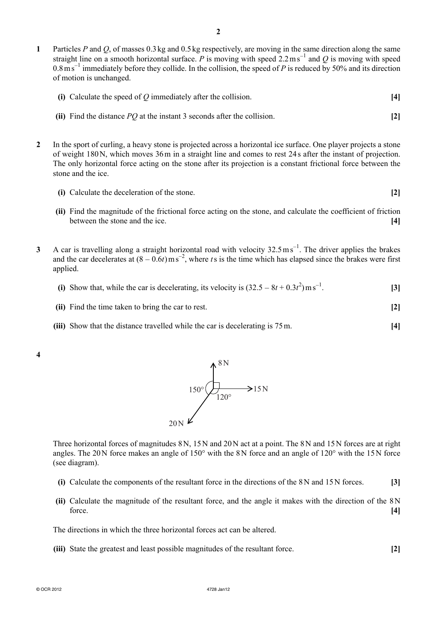**1** Particles *P* and *Q*, of masses 0.3 kg and 0.5 kg respectively, are moving in the same direction along the same straight line on a smooth horizontal surface. *P* is moving with speed 2.2 m s<sup>−1</sup> and *Q* is moving with speed  $0.8 \text{ m s}^{-1}$  immediately before they collide. In the collision, the speed of *P* is reduced by 50% and its direction of motion is unchanged.

| (i) Calculate the speed of $Q$ immediately after the collision. |  |
|-----------------------------------------------------------------|--|
|-----------------------------------------------------------------|--|

- **(ii)** Find the distance *PQ* at the instant 3 seconds after the collision. **[2]**
- **2** In the sport of curling, a heavy stone is projected across a horizontal ice surface. One player projects a stone of weight 180 N, which moves 36 m in a straight line and comes to rest 24 s after the instant of projection. The only horizontal force acting on the stone after its projection is a constant frictional force between the stone and the ice.
	- **(i)** Calculate the deceleration of the stone. **[2]**
	- **(ii)** Find the magnitude of the frictional force acting on the stone, and calculate the coefficient of friction between the stone and the ice. **[4]**
- 3 A car is travelling along a straight horizontal road with velocity 32.5 ms<sup>-1</sup>. The driver applies the brakes and the car decelerates at  $(8 - 0.6t)$  m s<sup>-2</sup>, where *t* s is the time which has elapsed since the brakes were first applied.
- (i) Show that, while the car is decelerating, its velocity is  $(32.5 8t + 0.3t^2)$  m s<sup>-1</sup> . **[3]**
	- **(ii)** Find the time taken to bring the car to rest. **[2]**
	- **(iii)** Show that the distance travelled while the car is decelerating is 75 m. **[4]**

**4** 



Three horizontal forces of magnitudes 8 N, 15 N and 20 N act at a point. The 8 N and 15 N forces are at right angles. The 20 N force makes an angle of 150° with the 8 N force and an angle of 120° with the 15 N force (see diagram).

- **(i)** Calculate the components of the resultant force in the directions of the 8 N and 15 N forces. **[3]**
- **(ii)** Calculate the magnitude of the resultant force, and the angle it makes with the direction of the 8 N force. **[4]**

The directions in which the three horizontal forces act can be altered.

 **(iii)** State the greatest and least possible magnitudes of the resultant force. **[2]**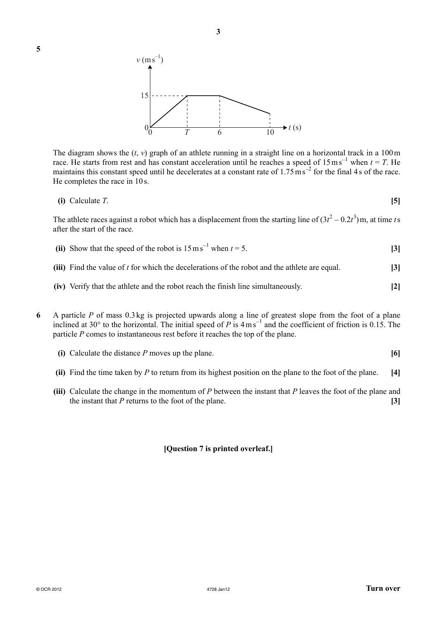



The diagram shows the  $(t, v)$  graph of an athlete running in a straight line on a horizontal track in a 100 m race. He starts from rest and has constant acceleration until he reaches a speed of  $15 \text{ ms}^{-1}$  when  $t = T$ . He maintains this constant speed until he decelerates at a constant rate of  $1.75 \text{ m s}^{-2}$  for the final 4s of the race. He completes the race in 10 s.

$$
(i) Calculate T. \tag{5}
$$

The athlete races against a robot which has a displacement from the starting line of  $(3t^2 - 0.2t^3)$  m, at time *t* s after the start of the race.

- (ii) Show that the speed of the robot is  $15 \text{ ms}^{-1}$  when  $t = 5$ . [3]
	- **(iii)** Find the value of *t* for which the decelerations of the robot and the athlete are equal. **[3]**
	- **(iv)** Verify that the athlete and the robot reach the finish line simultaneously. **[2]**
- **6** A particle *P* of mass 0.3 kg is projected upwards along a line of greatest slope from the foot of a plane inclined at 30° to the horizontal. The initial speed of *P* is 4 m s−<sup>1</sup> and the coefficient of friction is 0.15. The particle *P* comes to instantaneous rest before it reaches the top of the plane.
	- **(i)** Calculate the distance *P* moves up the plane. **[6]**
	- **(ii)** Find the time taken by *P* to return from its highest position on the plane to the foot of the plane. **[4]**
	- **(iii)** Calculate the change in the momentum of *P* between the instant that *P* leaves the foot of the plane and the instant that *P* returns to the foot of the plane. **[3]**

#### **[Question 7 is printed overleaf.]**